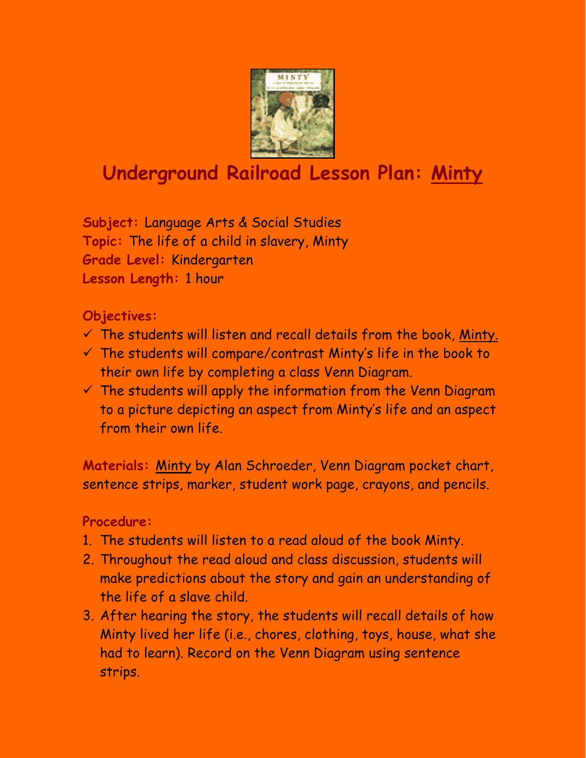

# **Underground Railroad Lesson Plan: Minty**

**Subject:** Language Arts & Social Studies **Topic:** The life of a child in slavery, Minty **Grade Level:** Kindergarten **Lesson Length:** 1 hour

## **Objectives:**

- $\checkmark$  The students will listen and recall details from the book, Minty.
- $\checkmark$  The students will compare/contrast Minty's life in the book to their own life by completing a class Venn Diagram.
- $\checkmark$  The students will apply the information from the Venn Diagram to a picture depicting an aspect from Minty's life and an aspect from their own life.

**Materials:** Minty by Alan Schroeder, Venn Diagram pocket chart, sentence strips, marker, student work page, crayons, and pencils.

## **Procedure:**

- 1. The students will listen to a read aloud of the book Minty.
- 2. Throughout the read aloud and class discussion, students will make predictions about the story and gain an understanding of the life of a slave child.
- 3. After hearing the story, the students will recall details of how Minty lived her life (i.e., chores, clothing, toys, house, what she had to learn). Record on the Venn Diagram using sentence strips.